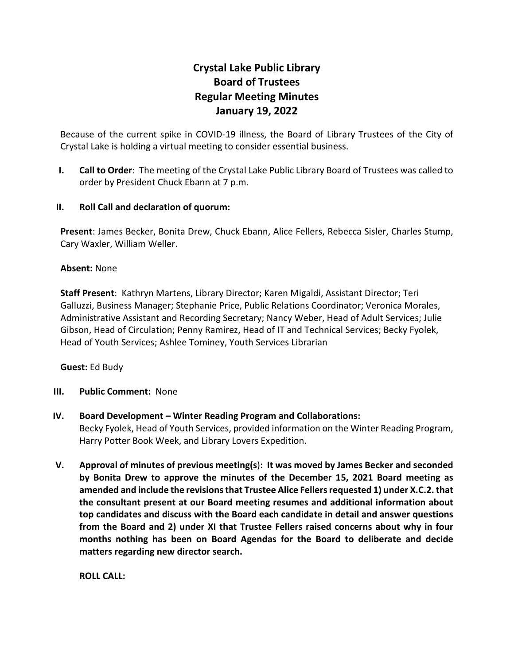# **Crystal Lake Public Library Board of Trustees Regular Meeting Minutes January 19, 2022**

Because of the current spike in COVID-19 illness, the Board of Library Trustees of the City of Crystal Lake is holding a virtual meeting to consider essential business.

**I. Call to Order**: The meeting of the Crystal Lake Public Library Board of Trustees was called to order by President Chuck Ebann at 7 p.m.

# **II. Roll Call and declaration of quorum:**

**Present**: James Becker, Bonita Drew, Chuck Ebann, Alice Fellers, Rebecca Sisler, Charles Stump, Cary Waxler, William Weller.

## **Absent:** None

**Staff Present**: Kathryn Martens, Library Director; Karen Migaldi, Assistant Director; Teri Galluzzi, Business Manager; Stephanie Price, Public Relations Coordinator; Veronica Morales, Administrative Assistant and Recording Secretary; Nancy Weber, Head of Adult Services; Julie Gibson, Head of Circulation; Penny Ramirez, Head of IT and Technical Services; Becky Fyolek, Head of Youth Services; Ashlee Tominey, Youth Services Librarian

# **Guest:** Ed Budy

#### **III. Public Comment:** None

- **IV. Board Development – Winter Reading Program and Collaborations:** Becky Fyolek, Head of Youth Services, provided information on the Winter Reading Program, Harry Potter Book Week, and Library Lovers Expedition.
- **V. Approval of minutes of previous meeting(s**)**: It was moved by James Becker and seconded by Bonita Drew to approve the minutes of the December 15, 2021 Board meeting as amended and include the revisions that Trustee Alice Fellers requested 1) under X.C.2.that the consultant present at our Board meeting resumes and additional information about top candidates and discuss with the Board each candidate in detail and answer questions from the Board and 2) under XI that Trustee Fellers raised concerns about why in four months nothing has been on Board Agendas for the Board to deliberate and decide matters regarding new director search.**

**ROLL CALL:**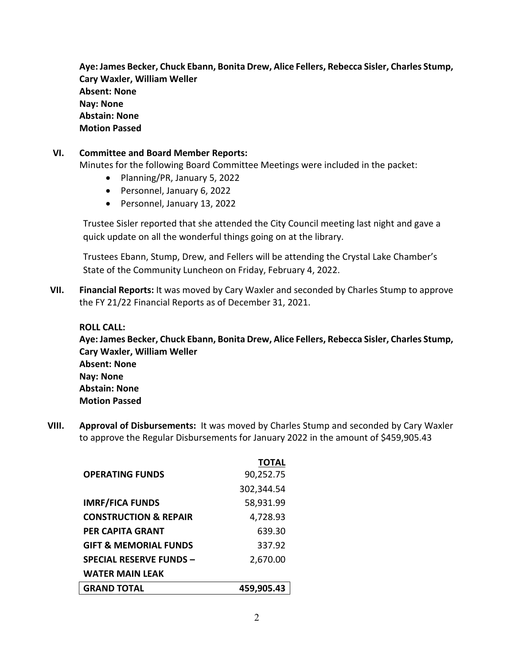**Aye: James Becker, Chuck Ebann, Bonita Drew, Alice Fellers, Rebecca Sisler, Charles Stump, Cary Waxler, William Weller Absent: None Nay: None Abstain: None Motion Passed**

# **VI. Committee and Board Member Reports:**

Minutes for the following Board Committee Meetings were included in the packet:

- Planning/PR, January 5, 2022
- Personnel, January 6, 2022
- Personnel, January 13, 2022

Trustee Sisler reported that she attended the City Council meeting last night and gave a quick update on all the wonderful things going on at the library.

Trustees Ebann, Stump, Drew, and Fellers will be attending the Crystal Lake Chamber's State of the Community Luncheon on Friday, February 4, 2022.

**VII. Financial Reports:** It was moved by Cary Waxler and seconded by Charles Stump to approve the FY 21/22 Financial Reports as of December 31, 2021.

## **ROLL CALL:**

**Aye: James Becker, Chuck Ebann, Bonita Drew, Alice Fellers, Rebecca Sisler, Charles Stump, Cary Waxler, William Weller Absent: None Nay: None Abstain: None Motion Passed**

**VIII. Approval of Disbursements:** It was moved by Charles Stump and seconded by Cary Waxler to approve the Regular Disbursements for January 2022 in the amount of \$459,905.43

|                                  | <b>TOTAL</b> |
|----------------------------------|--------------|
| <b>OPERATING FUNDS</b>           | 90,252.75    |
|                                  | 302,344.54   |
| <b>IMRF/FICA FUNDS</b>           | 58,931.99    |
| <b>CONSTRUCTION &amp; REPAIR</b> | 4,728.93     |
| PER CAPITA GRANT                 | 639.30       |
| <b>GIFT &amp; MEMORIAL FUNDS</b> | 337.92       |
| <b>SPECIAL RESERVE FUNDS -</b>   | 2,670.00     |
| <b>WATER MAIN LEAK</b>           |              |
| <b>GRAND TOTAL</b>               | 459,905.43   |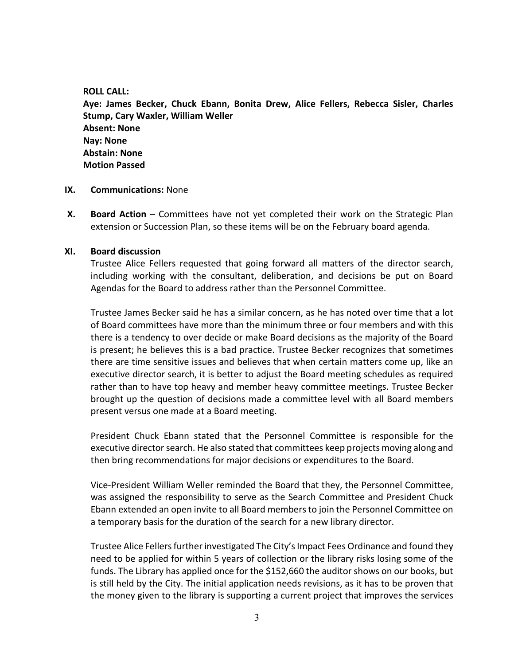#### **ROLL CALL:**

**Aye: James Becker, Chuck Ebann, Bonita Drew, Alice Fellers, Rebecca Sisler, Charles Stump, Cary Waxler, William Weller Absent: None Nay: None Abstain: None Motion Passed**

- **IX. Communications:** None
- **X. Board Action** Committees have not yet completed their work on the Strategic Plan extension or Succession Plan, so these items will be on the February board agenda.

## **XI. Board discussion**

Trustee Alice Fellers requested that going forward all matters of the director search, including working with the consultant, deliberation, and decisions be put on Board Agendas for the Board to address rather than the Personnel Committee.

Trustee James Becker said he has a similar concern, as he has noted over time that a lot of Board committees have more than the minimum three or four members and with this there is a tendency to over decide or make Board decisions as the majority of the Board is present; he believes this is a bad practice. Trustee Becker recognizes that sometimes there are time sensitive issues and believes that when certain matters come up, like an executive director search, it is better to adjust the Board meeting schedules as required rather than to have top heavy and member heavy committee meetings. Trustee Becker brought up the question of decisions made a committee level with all Board members present versus one made at a Board meeting.

President Chuck Ebann stated that the Personnel Committee is responsible for the executive director search. He also stated that committees keep projects moving along and then bring recommendations for major decisions or expenditures to the Board.

Vice-President William Weller reminded the Board that they, the Personnel Committee, was assigned the responsibility to serve as the Search Committee and President Chuck Ebann extended an open invite to all Board members to join the Personnel Committee on a temporary basis for the duration of the search for a new library director.

Trustee Alice Fellers further investigated The City's Impact Fees Ordinance and found they need to be applied for within 5 years of collection or the library risks losing some of the funds. The Library has applied once for the \$152,660 the auditor shows on our books, but is still held by the City. The initial application needs revisions, as it has to be proven that the money given to the library is supporting a current project that improves the services